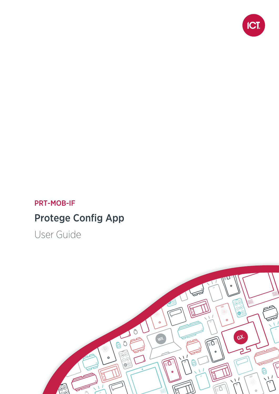

#### PRT-MOB-IF

## Protege Config App

User Guide

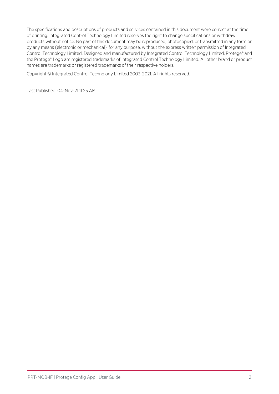The specifications and descriptions of products and services contained in this document were correct at the time of printing. Integrated Control Technology Limited reserves the right to change specifications or withdraw products without notice. No part of this document may be reproduced, photocopied, or transmitted in any form or by any means (electronic or mechanical), for any purpose, without the express written permission of Integrated Control Technology Limited. Designed and manufactured by Integrated Control Technology Limited, Protege® and the Protege® Logo are registered trademarks of Integrated Control Technology Limited. All other brand or product names are trademarks or registered trademarks of their respective holders.

Copyright © Integrated Control Technology Limited 2003-2021. All rights reserved.

Last Published: 04-Nov-21 11:25 AM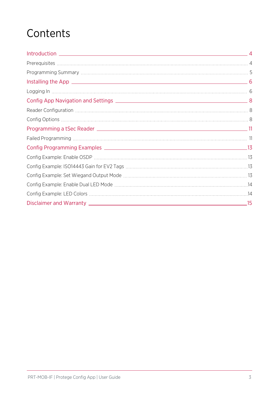# **Contents**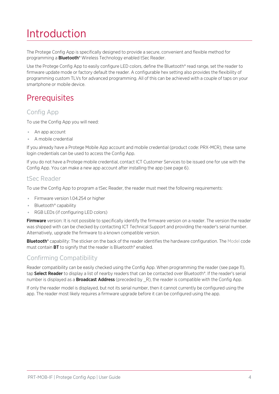# <span id="page-3-0"></span>Introduction

The Protege Config App is specifically designed to provide a secure, convenient and flexible method for programming a **Bluetooth®** Wireless Technology enabled tSec Reader.

Use the Protege Config App to easily configure LED colors, define the Bluetooth® read range, set the reader to firmware update mode or factory default the reader. A configurable hex setting also provides the flexibility of programming custom TLVs for advanced programming. All of this can be achieved with a couple of taps on your smartphone or mobile device.

#### <span id="page-3-1"></span>**Prerequisites**

#### Config App

To use the Config App you will need:

- An app account
- ⦁ A mobile credential

If you already have a Protege Mobile App account and mobile credential (product code: PRX-MCR), these same login credentials can be used to access the Config App.

If you do not have a Protege mobile credential, contact ICT Customer Services to be issued one for use with the Config App. You can make a new app account after installing the app (see [page 6\)](#page-5-1).

#### tSec Reader

To use the Config App to program a tSec Reader, the reader must meet the following requirements:

- ⦁ Firmware version 1.04.254 or higher
- ⦁ Bluetooth® capability
- ⦁ RGB LEDs (if configuring LED colors)

Firmware version: It is not possible to specifically identify the firmware version on a reader. The version the reader was shipped with can be checked by contacting ICT Technical Support and providing the reader's serial number. Alternatively, upgrade the firmware to a known compatible version.

Bluetooth® capability: The sticker on the back of the reader identifies the hardware configuration. The Model code must contain BT to signify that the reader is Bluetooth® enabled.

#### Confirming Compatibility

Reader compatibility can be easily checked using the Config App. When programming the reader (see [page 11\)](#page-10-0), tap Select Reader to display a list of nearby readers that can be contacted over Bluetooth®. If the reader's serial number is displayed as a **Broadcast Address** (preceded by  $R$ ), the reader is compatible with the Config App.

If only the reader model is displayed, but not its serial number, then it cannot currently be configured using the app. The reader most likely requires a firmware upgrade before it can be configured using the app.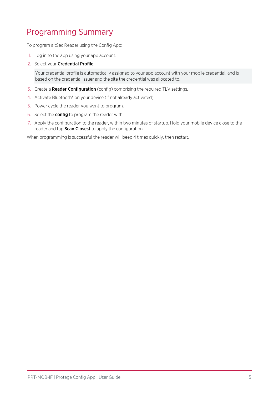### <span id="page-4-0"></span>Programming Summary

To program a tSec Reader using the Config App:

- 1. Log in to the app using your app account.
- 2. Select your Credential Profile.

Your credential profile is automatically assigned to your app account with your mobile credential, and is based on the credential issuer and the site the credential was allocated to.

- 3. Create a **Reader Configuration** (config) comprising the required TLV settings.
- 4. Activate Bluetooth® on your device (if not already activated).
- 5. Power cycle the reader you want to program.
- 6. Select the config to program the reader with.
- 7. Apply the configuration to the reader, within two minutes of startup. Hold your mobile device close to the reader and tap Scan Closest to apply the configuration.

When programming is successful the reader will beep 4 times quickly, then restart.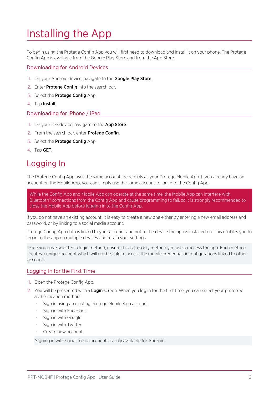## <span id="page-5-0"></span>Installing the App

To begin using the Protege Config App you will first need to download and install it on your phone. The Protege Config App is available from the Google Play Store and from the App Store.

#### Downloading for Android Devices

- 1. On your Android device, navigate to the Google Play Store.
- 2. Enter **Protege Config** into the search bar.
- 3. Select the Protege Config App.
- 4. Tap Install.

#### Downloading for iPhone / iPad

- 1. On your iOS device, navigate to the App Store.
- 2. From the search bar, enter **Protege Config**.
- 3. Select the **Protege Config** App.
- <span id="page-5-1"></span>4. Tap GET.

#### Logging In

The Protege Config App uses the same account credentials as your Protege Mobile App. If you already have an account on the Mobile App, you can simply use the same account to log in to the Config App.

While the Config App and Mobile App can operate at the same time, the Mobile App can interfere with Bluetooth® connections from the Config App and cause programming to fail, so it is strongly recommended to close the Mobile App before logging in to the Config App.

If you do not have an existing account, it is easy to create a new one either by entering a new email address and password, or by linking to a social media account.

Protege Config App data is linked to your account and not to the device the app is installed on. This enables you to log in to the app on multiple devices and retain your settings.

Once you have selected a login method, ensure this is the only method you use to access the app. Each method creates a unique account which will not be able to access the mobile credential or configurations linked to other accounts.

#### Logging In for the First Time

- 1. Open the Protege Config App.
- 2. You will be presented with a Login screen. When you log in for the first time, you can select your preferred authentication method:
	- Sign in using an existing Protege Mobile App account
	- Sign in with Facebook
	- Sign in with Google
	- Sign in with Twitter
	- Create new account

Signing in with social media accounts is only available for Android.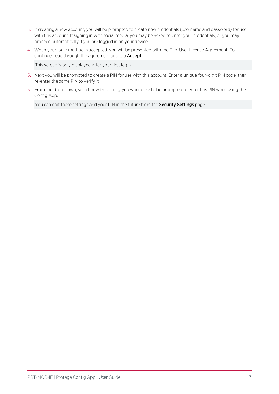- 3. If creating a new account, you will be prompted to create new credentials (username and password) for use with this account. If signing in with social media, you may be asked to enter your credentials, or you may proceed automatically if you are logged in on your device.
- 4. When your login method is accepted, you will be presented with the End-User License Agreement. To continue, read through the agreement and tap **Accept**.

This screen is only displayed after your first login.

- 5. Next you will be prompted to create a PIN for use with this account. Enter a unique four-digit PIN code, then re-enter the same PIN to verify it.
- 6. From the drop-down, select how frequently you would like to be prompted to enter this PIN while using the Config App.

You can edit these settings and your PIN in the future from the Security Settings page.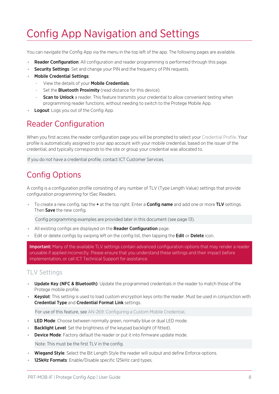# <span id="page-7-0"></span>Config App Navigation and Settings

You can navigate the Config App via the menu in the top left of the app. The following pages are available.

- **Reader Configuration:** All configuration and reader programming is performed through this page.
- Security Settings: Set and change your PIN and the frequency of PIN requests.
- Mobile Credential Settings:
	- View the details of your Mobile Credentials.
	- Set the **Bluetooth Proximity** (read distance for this device).
	- **Scan to Unlock** a reader. This feature transmits your credential to allow convenient testing when programming reader functions, without needing to switch to the Protege Mobile App.
- <span id="page-7-1"></span>Logout: Logs you out of the Config App.

## Reader Configuration

When you first access the reader configuration page you will be prompted to select your Credential Profile. Your profile is automatically assigned to your app account with your mobile credential, based on the issuer of the credential, and typically corresponds to the site or group your credential was allocated to.

<span id="page-7-2"></span>If you do not have a credential profile, contact ICT Customer Services.

## Config Options

A config is a configuration profile consisting of any number of TLV (Type Length Value) settings that provide configuration programming for tSec Readers.

To create a new config, tap the + at the top right. Enter a **Config name** and add one or more TLV settings. Then Save the new config.

Config programming examples are provided later in this document (see [page 13\).](#page-12-0)

- All existing configs are displayed on the **Reader Configuration** page.
- Edit or delete configs by swiping left on the config list, then tapping the **Edit** or **Delete** icon.

**Important:** Many of the available TLV settings contain advanced configuration options that may render a reader unusable if applied incorrectly. Please ensure that you understand these settings and their impact before implementation, or call ICT Technical Support for assistance.

#### TLV Settings

- . Update Key (NFC & Bluetooth): Update the programmed credentials in the reader to match those of the Protege mobile profile.
- **Keyslot:** This setting is used to load custom encryption keys onto the reader. Must be used in conjunction with Credential Type and Credential Format Link settings.

For use of this feature, see AN-269: Configuring a Custom Mobile Credential.

- LED Mode: Choose between normally green, normally blue or dual LED mode.
- **Backlight Level:** Set the brightness of the keypad backlight (if fitted).
- **Device Mode:** Factory default the reader or put it into firmware update mode.

Note: This must be the first TLV in the config.

- Wiegand Style: Select the Bit Length Style the reader will output and define Enforce options.
- 125kHz Formats: Enable/Disable specific 125kHz card types.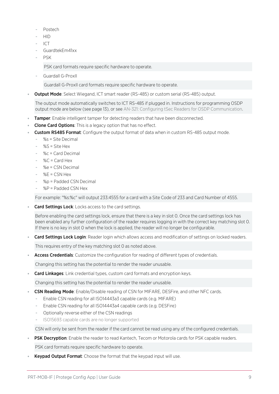- Postech
- HID
- ICT
- GuardtekEm41xx
- PSK

PSK card formats require specific hardware to operate.

Guardall G-ProxII

Guardall G-ProxII card formats require specific hardware to operate.

**Output Mode**: Select Wiegand, ICT smart reader (RS-485) or custom serial (RS-485) output.

The output mode automatically switches to ICT RS-485 if plugged in. Instructions for programming OSDP output mode are below (see [page 13\),](#page-12-1) or see AN-321: Configuring tSec Readers for OSDP Communication.

- **Tamper:** Enable intelligent tamper for detecting readers that have been disconnected.
- Clone Card Options: This is a legacy option that has no effect.
- **Custom RS485 Format:** Configure the output format of data when in custom RS-485 output mode.
	- $% s =$  Site Decimal
	- $%S =$  Site Hex
	- %c = Card Decimal
	- $\%C = Card$  Hex
	- $-$  %e = CSN Decimal
	- $-$  %E = CSN Hex
	- %p = Padded CSN Decimal
	- $%P =$  Padded CSN Hex

For example: "%s:%c" will output 233:4555 for a card with a Site Code of 233 and Card Number of 4555.

Card Settings Lock: Locks access to the card settings.

Before enabling the card settings lock, ensure that there is a key in slot 0. Once the card settings lock has been enabled any further configuration of the reader requires logging in with the correct key matching slot 0. If there is no key in slot 0 when the lock is applied, the reader will no longer be configurable.

Card Settings Lock Login: Reader login which allows access and modification of settings on locked readers.

This requires entry of the key matching slot 0 as noted above.

Access Credentials: Customize the configuration for reading of different types of credentials.

Changing this setting has the potential to render the reader unusable.

**Card Linkages:** Link credential types, custom card formats and encryption keys.

Changing this setting has the potential to render the reader unusable.

- **CSN Reading Mode:** Enable/Disable reading of CSN for MIFARE, DESFire, and other NFC cards.
	- Enable CSN reading for all ISO14443a3 capable cards (e.g. MIFARE)
	- Enable CSN reading for all ISO14443a4 capable cards (e.g. DESFire)
	- Optionally reverse either of the CSN readings
	- ISO15693 capable cards are no longer supported

CSN will only be sent from the reader if the card cannot be read using any of the configured credentials.

**PSK Decryption**: Enable the reader to read Kantech, Tecom or Motorola cards for PSK capable readers.

PSK card formats require specific hardware to operate.

Keypad Output Format: Choose the format that the keypad input will use.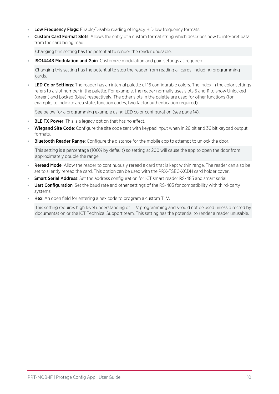- Low Frequency Flags: Enable/Disable reading of legacy HID low frequency formats.
- **Custom Card Format Slots**: Allows the entry of a custom format string which describes how to interpret data from the card being read.

Changing this setting has the potential to render the reader unusable.

**ISO14443 Modulation and Gain:** Customize modulation and gain settings as required.

Changing this setting has the potential to stop the reader from reading all cards, including programming cards.

LED Color Settings: The reader has an internal palette of 16 configurable colors. The Index in the color settings refers to a slot number in the palette. For example, the reader normally uses slots 5 and 11 to show Unlocked (green) and Locked (blue) respectively. The other slots in the palette are used for other functions (for example, to indicate area state, function codes, two factor authentication required).

See below for a programming example using LED color configuration (see [page 14\)](#page-13-1).

- **BLE TX Power:** This is a legacy option that has no effect.
- Wiegand Site Code: Configure the site code sent with keypad input when in 26 bit and 36 bit keypad output formats.
- **Bluetooth Reader Range**: Configure the distance for the mobile app to attempt to unlock the door.

This setting is a percentage (100% by default) so setting at 200 will cause the app to open the door from approximately double the range.

- **Reread Mode**: Allow the reader to continuously reread a card that is kept within range. The reader can also be set to silently reread the card. This option can be used with the PRX-TSEC-XCDH card holder cover.
- **Smart Serial Address**: Set the address configuration for ICT smart reader RS-485 and smart serial.
- Uart Configuration: Set the baud rate and other settings of the RS-485 for compatibility with third-party systems.
- **Hex:** An open field for entering a hex code to program a custom TLV.

This setting requires high level understanding of TLV programming and should not be used unless directed by documentation or the ICT Technical Support team. This setting has the potential to render a reader unusable.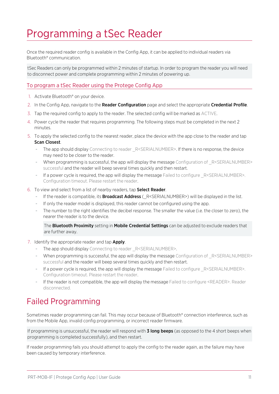## <span id="page-10-0"></span>Programming a tSec Reader

Once the required reader config is available in the Config App, it can be applied to individual readers via Bluetooth® communication.

tSec Readers can only be programmed within 2 minutes of startup. In order to program the reader you will need to disconnect power and complete programming within 2 minutes of powering up.

#### To program a tSec Reader using the Protege Config App

- 1. Activate Bluetooth<sup>®</sup> on your device.
- 2. In the Config App, navigate to the Reader Configuration page and select the appropriate Credential Profile.
- 3. Tap the required config to apply to the reader. The selected config will be marked as ACTIVE.
- 4. Power cycle the reader that requires programming. The following steps must be completed in the next 2 minutes.
- 5. To apply the selected config to the nearest reader, place the device with the app close to the reader and tap Scan Closest.
	- The app should display Connecting to reader \_R<SERIALNUMBER>. If there is no response, the device may need to be closer to the reader.
	- When programming is successful, the app will display the message Configuration of  $R$ <SERIALNUMBER> successful and the reader will beep several times quickly and then restart.
	- If a power cycle is required, the app will display the message Failed to configure \_R<SERIALNUMBER>. Configuration timeout. Please restart the reader.
- 6. To view and select from a list of nearby readers, tap Select Reader.
	- If the reader is compatible, its **Broadcast Address** ( $R$ <SERIALNUMBER>) will be displayed in the list.
	- If only the reader model is displayed, this reader cannot be configured using the app.
	- The number to the right identifies the decibel response. The smaller the value (i.e. the closer to zero), the nearer the reader is to the device.

The **Bluetooth Proximity** setting in **Mobile Credential Settings** can be adjusted to exclude readers that are further away.

- 7. Identify the appropriate reader and tap Apply.
	- The app should display Connecting to reader \_R<SERIALNUMBER>.
	- When programming is successful, the app will display the message Configuration of  $R$ <SERIALNUMBER> successful and the reader will beep several times quickly and then restart.
	- If a power cycle is required, the app will display the message Failed to configure \_R<SERIALNUMBER>. Configuration timeout. Please restart the reader.
	- If the reader is not compatible, the app will display the message Failed to configure <READER>. Reader disconnected.

### <span id="page-10-1"></span>Failed Programming

Sometimes reader programming can fail. This may occur because of Bluetooth® connection interference, such as from the Mobile App, invalid config programming, or incorrect reader firmware.

If programming is unsuccessful, the reader will respond with **3 long beeps** (as opposed to the 4 short beeps when programming is completed successfully), and then restart.

If reader programming fails you should attempt to apply the config to the reader again, as the failure may have been caused by temporary interference.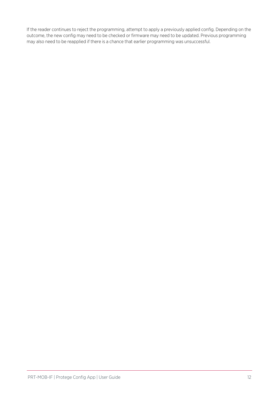If the reader continues to reject the programming, attempt to apply a previously applied config. Depending on the outcome, the new config may need to be checked or firmware may need to be updated. Previous programming may also need to be reapplied if there is a chance that earlier programming was unsuccessful.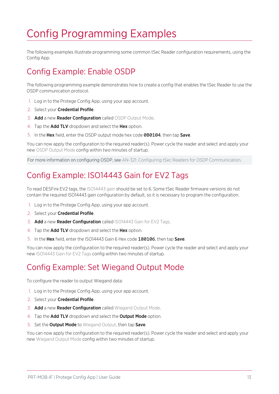# <span id="page-12-0"></span>Config Programming Examples

<span id="page-12-1"></span>The following examples illustrate programming some common tSec Reader configuration requirements, using the Config App.

## Config Example: Enable OSDP

The following programming example demonstrates how to create a config that enables the tSec Reader to use the OSDP communication protocol.

- 1. Log in to the Protege Config App, using your app account.
- 2. Select your Credential Profile.
- 3. Add a new Reader Configuration called OSDP Output Mode.
- 4. Tap the **Add TLV** dropdown and select the **Hex** option.
- 5. In the Hex field, enter the OSDP output mode hex code 0B0104, then tap Save.

You can now apply the configuration to the required reader(s). Power cycle the reader and select and apply your new OSDP Output Mode config within two minutes of startup.

<span id="page-12-2"></span>For more information on configuring OSDP, see AN-321: Configuring tSec Readers for OSDP Communication.

### Config Example: ISO14443 Gain for EV2 Tags

To read DESFire EV2 tags, the ISO14443 gain should be set to 6. Some tSec Reader firmware versions do not contain the required ISO14443 gain configuration by default, so it is necessary to program the configuration.

- 1. Log in to the Protege Config App, using your app account.
- 2. Select your Credential Profile.
- 3. Add a new Reader Configuration called ISO14443 Gain for EV2 Tags.
- 4. Tap the **Add TLV** dropdown and select the **Hex** option.
- 5. In the Hex field, enter the ISO14443 Gain 6 Hex code 180106, then tap Save.

<span id="page-12-3"></span>You can now apply the configuration to the required reader(s). Power cycle the reader and select and apply your new ISO14443 Gain for EV2 Tags config within two minutes of startup.

### Config Example: Set Wiegand Output Mode

To configure the reader to output Wiegand data:

- 1. Log in to the Protege Config App, using your app account.
- 2. Select your Credential Profile.
- 3. Add a new Reader Configuration called Wiegand Output Mode.
- 4. Tap the **Add TLV** dropdown and select the **Output Mode** option.
- 5. Set the **Output Mode** to Wiegand Output, then tap Save.

You can now apply the configuration to the required reader(s). Power cycle the reader and select and apply your new Wiegand Output Mode config within two minutes of startup.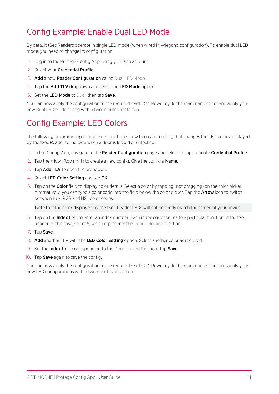## <span id="page-13-0"></span>Config Example: Enable Dual LED Mode

By default tSec Readers operate in single LED mode (when wired in Wiegand configuration). To enable dual LED mode, you need to change its configuration.

- 1. Log in to the Protege Config App, using your app account.
- 2. Select your **Credential Profile**.
- 3. Add a new Reader Configuration called Dual LED Mode.
- 4. Tap the Add TLV dropdown and select the LED Mode option.
- 5. Set the LED Mode to Dual, then tap Save.

<span id="page-13-1"></span>You can now apply the configuration to the required reader(s). Power cycle the reader and select and apply your new Dual LED Mode config within two minutes of startup.

#### Config Example: LED Colors

The following programming example demonstrates how to create a config that changes the LED colors displayed by the tSec Reader to indicate when a door is locked or unlocked.

- 1. In the Config App, navigate to the Reader Configuration page and select the appropriate Credential Profile.
- 2. Tap the  $+$  icon (top right) to create a new config. Give the config a **Name**.
- 3. Tap **Add TLV** to open the dropdown.
- 4. Select LED Color Setting and tap OK.
- 5. Tap on the Color field to display color details. Select a color by tapping (not dragging) on the color picker. Alternatively, you can type a color code into the field below the color picker. Tap the **Arrow** icon to switch between Hex, RGB and HSL color codes.

Note that the color displayed by the tSec Reader LEDs will not perfectly match the screen of your device.

- 6. Tap on the Index field to enter an index number. Each index corresponds to a particular function of the tSec Reader. In this case, select 5, which represents the Door Unlocked function.
- 7. Tap Save.
- 8. Add another TLV with the LED Color Setting option. Select another color as required.
- 9. Set the **Index** to 11, corresponding to the Door Locked function. Tap **Save**.
- 10. Tap Save again to save the config.

You can now apply the configuration to the required reader(s). Power cycle the reader and select and apply your new LED configurations within two minutes of startup.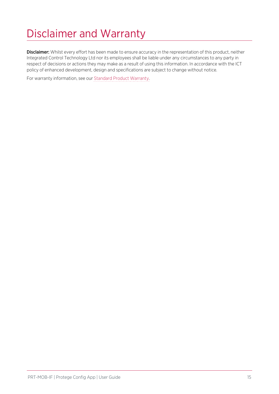# <span id="page-14-0"></span>Disclaimer and Warranty

Disclaimer: Whilst every effort has been made to ensure accuracy in the representation of this product, neither Integrated Control Technology Ltd nor its employees shall be liable under any circumstances to any party in respect of decisions or actions they may make as a result of using this information. In accordance with the ICT policy of enhanced development, design and specifications are subject to change without notice.

For warranty information, see our Standard Product [Warranty.](https://www.ict.co/Standard-Product-Warranty)